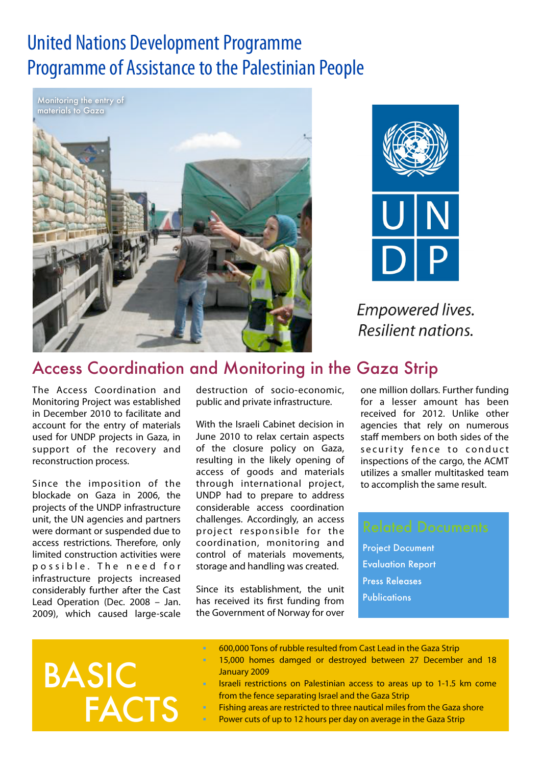# United Nations Development Programme Programme of Assistance to the Palestinian People





**Empowered lives.** Resilient nations.

## Access Coordination and Monitoring in the Gaza Strip

The Access Coordination and Monitoring Project was established in December 2010 to facilitate and account for the entry of materials used for UNDP projects in Gaza, in support of the recovery and reconstruction process.

Since the imposition of the blockade on Gaza in 2006, the projects of the UNDP infrastructure unit, the UN agencies and partners were dormant or suspended due to access restrictions. Therefore, only limited construction activities were p o s s i b l e. The need for infrastructure projects increased considerably further after the Cast Lead Operation (Dec. 2008 – Jan. 2009), which caused large-scale

destruction of socio-economic, public and private infrastructure.

With the Israeli Cabinet decision in June 2010 to relax certain aspects of the closure policy on Gaza, resulting in the likely opening of access of goods and materials through international project, UNDP had to prepare to address considerable access coordination challenges. Accordingly, an access project responsible for the coordination, monitoring and control of materials movements, storage and handling was created.

Since its establishment, the unit has received its first funding from the Government of Norway for over

one million dollars. Further funding for a lesser amount has been received for 2012. Unlike other agencies that rely on numerous staff members on both sides of the security fence to conduct inspections of the cargo, the ACMT utilizes a smaller multitasked team to accomplish the same result.

Project Document Evaluation Report Press Releases **Publications** 

# **FACTS** BASIC

- 600,000 Tons of rubble resulted from Cast Lead in the Gaza Strip
- 15,000 homes damged or destroyed between 27 December and 18 January 2009
- Israeli restrictions on Palestinian access to areas up to 1-1.5 km come from the fence separating Israel and the Gaza Strip
- Fishing areas are restricted to three nautical miles from the Gaza shore Power cuts of up to 12 hours per day on average in the Gaza Strip